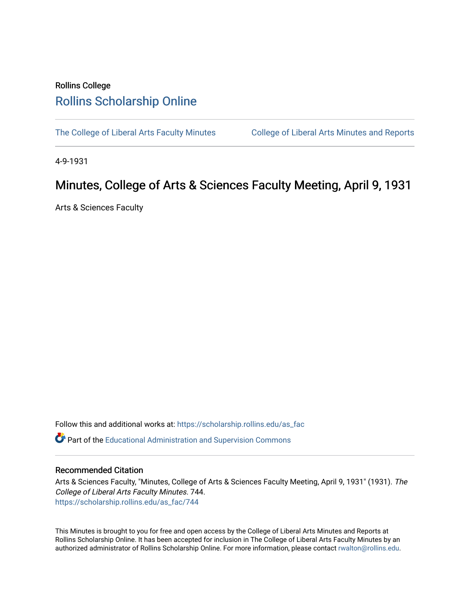## Rollins College [Rollins Scholarship Online](https://scholarship.rollins.edu/)

[The College of Liberal Arts Faculty Minutes](https://scholarship.rollins.edu/as_fac) College of Liberal Arts Minutes and Reports

4-9-1931

## Minutes, College of Arts & Sciences Faculty Meeting, April 9, 1931

Arts & Sciences Faculty

Follow this and additional works at: [https://scholarship.rollins.edu/as\\_fac](https://scholarship.rollins.edu/as_fac?utm_source=scholarship.rollins.edu%2Fas_fac%2F744&utm_medium=PDF&utm_campaign=PDFCoverPages) 

**P** Part of the [Educational Administration and Supervision Commons](http://network.bepress.com/hgg/discipline/787?utm_source=scholarship.rollins.edu%2Fas_fac%2F744&utm_medium=PDF&utm_campaign=PDFCoverPages)

## Recommended Citation

Arts & Sciences Faculty, "Minutes, College of Arts & Sciences Faculty Meeting, April 9, 1931" (1931). The College of Liberal Arts Faculty Minutes. 744. [https://scholarship.rollins.edu/as\\_fac/744](https://scholarship.rollins.edu/as_fac/744?utm_source=scholarship.rollins.edu%2Fas_fac%2F744&utm_medium=PDF&utm_campaign=PDFCoverPages) 

This Minutes is brought to you for free and open access by the College of Liberal Arts Minutes and Reports at Rollins Scholarship Online. It has been accepted for inclusion in The College of Liberal Arts Faculty Minutes by an authorized administrator of Rollins Scholarship Online. For more information, please contact [rwalton@rollins.edu](mailto:rwalton@rollins.edu).